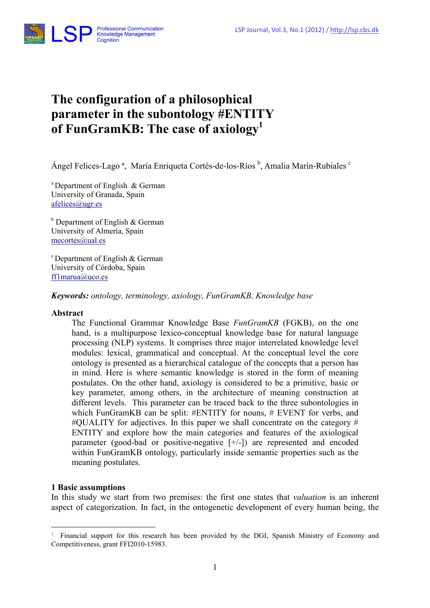

# The configuration of a philosophical parameter in the subontology #ENTITY of FunGramKB: The case of axiology<sup>1</sup>

Ángel Felices-Lago<sup>a</sup>, María Enriqueta Cortés-de-los-Ríos <sup>b</sup>, Amalia Marín-Rubiales <sup>c</sup>

<sup>a</sup> Department of English  $&$  German University of Granada, Spain afelices@ugr.es

<sup>b</sup> Department of English & German University of Almería, Spain mecortes@ual.es

 $\degree$ Department of English & German University of Córdoba, Spain ff1marua@uco.es

Keywords: ontology, terminology, axiology, FunGramKB, Knowledge base

#### Abstract

The Functional Grammar Knowledge Base FunGramKB (FGKB), on the one hand, is a multipurpose lexico-conceptual knowledge base for natural language processing (NLP) systems. It comprises three major interrelated knowledge level modules: lexical, grammatical and conceptual. At the conceptual level the core ontology is presented as a hierarchical catalogue of the concepts that a person has in mind. Here is where semantic knowledge is stored in the form of meaning postulates. On the other hand, axiology is considered to be a primitive, basic or key parameter, among others, in the architecture of meaning construction at different levels. This parameter can be traced back to the three subontologies in which FunGramKB can be split: #ENTITY for nouns, # EVENT for verbs, and  $\#$ OUALITY for adjectives. In this paper we shall concentrate on the category  $\#$ ENTITY and explore how the main categories and features of the axiological parameter (good-bad or positive-negative [+/-]) are represented and encoded within FunGramKB ontology, particularly inside semantic properties such as the meaning postulates.

### 1 Basic assumptions

 $\overline{a}$ 

In this study we start from two premises: the first one states that *valuation* is an inherent aspect of categorization. In fact, in the ontogenetic development of every human being, the

<sup>1</sup> Financial support for this research has been provided by the DGI, Spanish Ministry of Economy and Competitiveness, grant FFI2010-15983.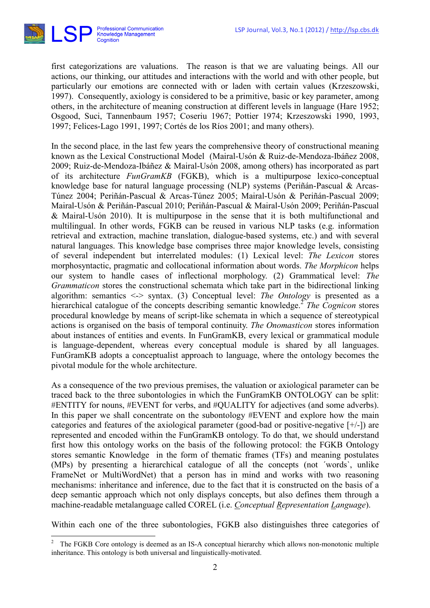

 $\overline{a}$ 

first categorizations are valuations. The reason is that we are valuating beings. All our actions, our thinking, our attitudes and interactions with the world and with other people, but particularly our emotions are connected with or laden with certain values (Krzeszowski, 1997). Consequently, axiology is considered to be a primitive, basic or key parameter, among others, in the architecture of meaning construction at different levels in language (Hare 1952; Osgood, Suci, Tannenbaum 1957; Coseriu 1967; Pottier 1974; Krzeszowski 1990, 1993, 1997; Felices-Lago 1991, 1997; Cortés de los Ríos 2001; and many others).

In the second place, in the last few years the comprehensive theory of constructional meaning known as the Lexical Constructional Model (Mairal-Usón & Ruiz-de-Mendoza-Ibáñez 2008, 2009; Ruiz-de-Mendoza-Ibáñez & Mairal-Usón 2008, among others) has incorporated as part of its architecture FunGramKB (FGKB), which is a multipurpose lexico-conceptual knowledge base for natural language processing (NLP) systems (Periñán-Pascual & Arcas-Túnez 2004; Periñán-Pascual & Arcas-Túnez 2005; Mairal-Usón & Periñán-Pascual 2009; Mairal-Usón & Periñán-Pascual 2010; Periñán-Pascual & Mairal-Usón 2009; Periñán-Pascual & Mairal-Usón 2010). It is multipurpose in the sense that it is both multifunctional and multilingual. In other words, FGKB can be reused in various NLP tasks (e.g. information retrieval and extraction, machine translation, dialogue-based systems, etc.) and with several natural languages. This knowledge base comprises three major knowledge levels, consisting of several independent but interrelated modules: (1) Lexical level: The Lexicon stores morphosyntactic, pragmatic and collocational information about words. The Morphicon helps our system to handle cases of inflectional morphology. (2) Grammatical level: The Grammaticon stores the constructional schemata which take part in the bidirectional linking algorithm: semantics  $\leq$  syntax. (3) Conceptual level: The Ontology is presented as a hierarchical catalogue of the concepts describing semantic knowledge.<sup>2</sup> The Cognicon stores procedural knowledge by means of script-like schemata in which a sequence of stereotypical actions is organised on the basis of temporal continuity. The Onomasticon stores information about instances of entities and events. In FunGramKB, every lexical or grammatical module is language-dependent, whereas every conceptual module is shared by all languages. FunGramKB adopts a conceptualist approach to language, where the ontology becomes the pivotal module for the whole architecture.

As a consequence of the two previous premises, the valuation or axiological parameter can be traced back to the three subontologies in which the FunGramKB ONTOLOGY can be split: #ENTITY for nouns, #EVENT for verbs, and #QUALITY for adjectives (and some adverbs). In this paper we shall concentrate on the subontology #EVENT and explore how the main categories and features of the axiological parameter (good-bad or positive-negative [+/-]) are represented and encoded within the FunGramKB ontology. To do that, we should understand first how this ontology works on the basis of the following protocol: the FGKB Ontology stores semantic Knowledge in the form of thematic frames (TFs) and meaning postulates (MPs) by presenting a hierarchical catalogue of all the concepts (not ´words`, unlike FrameNet or MultiWordNet) that a person has in mind and works with two reasoning mechanisms: inheritance and inference, due to the fact that it is constructed on the basis of a deep semantic approach which not only displays concepts, but also defines them through a machine-readable metalanguage called COREL (i.e. *Conceptual Representation Language*).

Within each one of the three subontologies, FGKB also distinguishes three categories of

<sup>2</sup> The FGKB Core ontology is deemed as an IS-A conceptual hierarchy which allows non-monotonic multiple inheritance. This ontology is both universal and linguistically-motivated.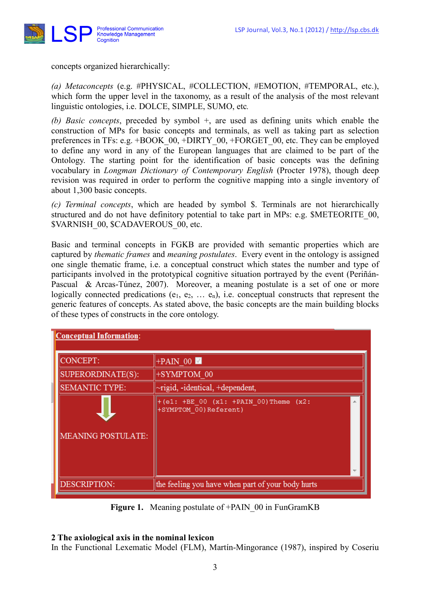

concepts organized hierarchically:

(a) Metaconcepts (e.g. #PHYSICAL, #COLLECTION, #EMOTION, #TEMPORAL, etc.), which form the upper level in the taxonomy, as a result of the analysis of the most relevant linguistic ontologies, i.e. DOLCE, SIMPLE, SUMO, etc.

(b) Basic concepts, preceded by symbol +, are used as defining units which enable the construction of MPs for basic concepts and terminals, as well as taking part as selection preferences in TFs: e.g. +BOOK\_00, +DIRTY\_00, +FORGET\_00, etc. They can be employed to define any word in any of the European languages that are claimed to be part of the Ontology. The starting point for the identification of basic concepts was the defining vocabulary in Longman Dictionary of Contemporary English (Procter 1978), though deep revision was required in order to perform the cognitive mapping into a single inventory of about 1,300 basic concepts.

(c) Terminal concepts, which are headed by symbol \$. Terminals are not hierarchically structured and do not have definitory potential to take part in MPs: e.g. \$METEORITE 00, \$VARNISH\_00, \$CADAVEROUS\_00, etc.

Basic and terminal concepts in FGKB are provided with semantic properties which are captured by thematic frames and meaning postulates. Every event in the ontology is assigned one single thematic frame, i.e. a conceptual construct which states the number and type of participants involved in the prototypical cognitive situation portrayed by the event (Periñán-Pascual & Arcas-Túnez, 2007). Moreover, a meaning postulate is a set of one or more logically connected predications ( $e_1, e_2, \ldots, e_n$ ), i.e. conceptual constructs that represent the generic features of concepts. As stated above, the basic concepts are the main building blocks of these types of constructs in the core ontology.

| <b>Conceptual Information:</b> |                                                                      |  |
|--------------------------------|----------------------------------------------------------------------|--|
| CONCEPT:                       | $+PAIN$ 00                                                           |  |
| SUPERORDINATE(S):              | +SYMPTOM 00                                                          |  |
| <b>SEMANTIC TYPE:</b>          | $\sim$ rigid, -identical, +dependent,                                |  |
| <b>MEANING POSTULATE:</b>      | $+(e1: +BE 00 (x1: +PAIN 00)$ Theme $(x2:$<br>+SYMPTOM 00) Referent) |  |
| <b>DESCRIPTION:</b>            | the feeling you have when part of your body hurts                    |  |

Figure 1. Meaning postulate of +PAIN 00 in FunGramKB

# 2 The axiological axis in the nominal lexicon

In the Functional Lexematic Model (FLM), Martín-Mingorance (1987), inspired by Coseriu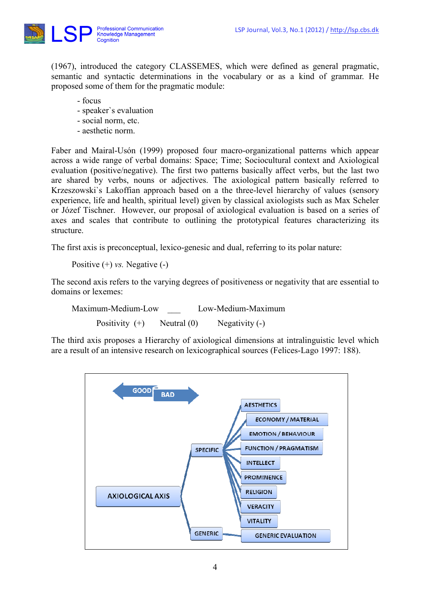

(1967), introduced the category CLASSEMES, which were defined as general pragmatic, semantic and syntactic determinations in the vocabulary or as a kind of grammar. He proposed some of them for the pragmatic module:

- focus
- speaker`s evaluation
- social norm, etc.
- aesthetic norm.

Faber and Mairal-Usón (1999) proposed four macro-organizational patterns which appear across a wide range of verbal domains: Space; Time; Sociocultural context and Axiological evaluation (positive/negative). The first two patterns basically affect verbs, but the last two are shared by verbs, nouns or adjectives. The axiological pattern basically referred to Krzeszowski`s Lakoffian approach based on a the three-level hierarchy of values (sensory experience, life and health, spiritual level) given by classical axiologists such as Max Scheler or Józef Tischner. However, our proposal of axiological evaluation is based on a series of axes and scales that contribute to outlining the prototypical features characterizing its structure.

The first axis is preconceptual, lexico-genesic and dual, referring to its polar nature:

Positive  $(+)$  *vs.* Negative  $(-)$ 

The second axis refers to the varying degrees of positiveness or negativity that are essential to domains or lexemes:

Maximum-Medium-Low Low-Medium-Maximum Positivity  $(+)$  Neutral  $(0)$  Negativity  $(-)$ 

The third axis proposes a Hierarchy of axiological dimensions at intralinguistic level which are a result of an intensive research on lexicographical sources (Felices-Lago 1997: 188).

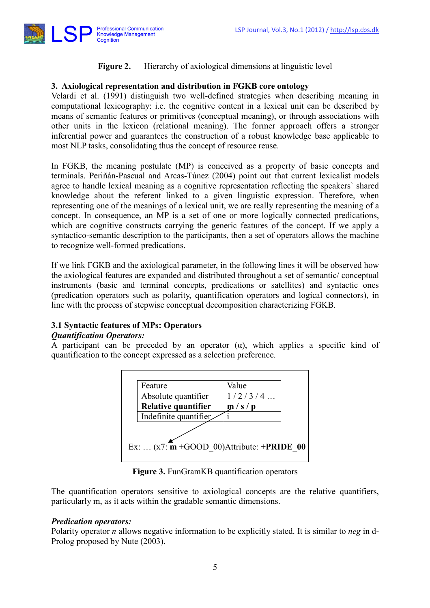

## Figure 2. Hierarchy of axiological dimensions at linguistic level

## 3. Axiological representation and distribution in FGKB core ontology

Velardi et al. (1991) distinguish two well-defined strategies when describing meaning in computational lexicography: i.e. the cognitive content in a lexical unit can be described by means of semantic features or primitives (conceptual meaning), or through associations with other units in the lexicon (relational meaning). The former approach offers a stronger inferential power and guarantees the construction of a robust knowledge base applicable to most NLP tasks, consolidating thus the concept of resource reuse.

In FGKB, the meaning postulate (MP) is conceived as a property of basic concepts and terminals. Periñán-Pascual and Arcas-Túnez (2004) point out that current lexicalist models agree to handle lexical meaning as a cognitive representation reflecting the speakers` shared knowledge about the referent linked to a given linguistic expression. Therefore, when representing one of the meanings of a lexical unit, we are really representing the meaning of a concept. In consequence, an MP is a set of one or more logically connected predications, which are cognitive constructs carrying the generic features of the concept. If we apply a syntactico-semantic description to the participants, then a set of operators allows the machine to recognize well-formed predications.

If we link FGKB and the axiological parameter, in the following lines it will be observed how the axiological features are expanded and distributed throughout a set of semantic/ conceptual instruments (basic and terminal concepts, predications or satellites) and syntactic ones (predication operators such as polarity, quantification operators and logical connectors), in line with the process of stepwise conceptual decomposition characterizing FGKB.

### 3.1 Syntactic features of MPs: Operators

### Quantification Operators:

A participant can be preceded by an operator  $(\alpha)$ , which applies a specific kind of quantification to the concept expressed as a selection preference.



Figure 3. FunGramKB quantification operators

The quantification operators sensitive to axiological concepts are the relative quantifiers, particularly m, as it acts within the gradable semantic dimensions.

#### Predication operators:

Polarity operator *n* allows negative information to be explicitly stated. It is similar to *neg* in d-Prolog proposed by Nute (2003).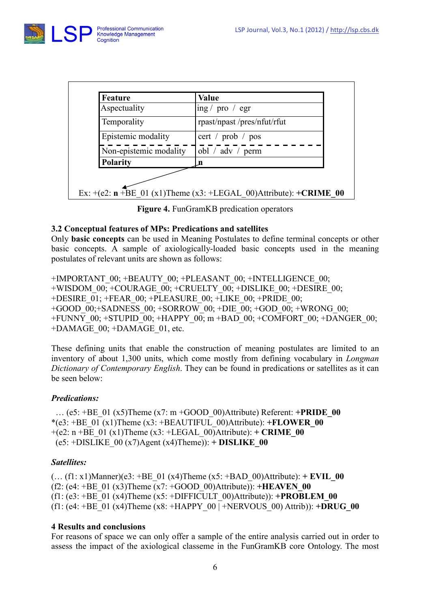

| <b>Feature</b>         | Value                              |
|------------------------|------------------------------------|
| Aspectuality           | ing / pro / egr                    |
| Temporality            | rpast/npast/pres/nfut/rfut         |
| Epistemic modality     | cert / $prob$ / $pos$              |
| Non-epistemic modality | obl / $\text{adv}$ / $\text{perm}$ |
| <b>Polarity</b>        | n                                  |

Figure 4. FunGramKB predication operators

# 3.2 Conceptual features of MPs: Predications and satellites

Only basic concepts can be used in Meaning Postulates to define terminal concepts or other basic concepts. A sample of axiologically-loaded basic concepts used in the meaning postulates of relevant units are shown as follows:

+IMPORTANT\_00; +BEAUTY\_00; +PLEASANT\_00; +INTELLIGENCE\_00; +WISDOM\_00; +COURAGE\_00; +CRUELTY\_00; +DISLIKE\_00; +DESIRE\_00; +DESIRE\_01; +FEAR\_00; +PLEASURE\_00; +LIKE\_00; +PRIDE\_00; +GOOD $\overline{00}$ ; +SADNESS  $\overline{00}$ ; +SORROW $\overline{00}$ ; +DIE $\overline{00}$ ; +GOD $\overline{00}$ ; +WRONG  $\overline{00}$ ; +FUNNY\_00; +STUPID\_00; +HAPPY\_00; m +BAD\_00; +COMFORT\_00; +DANGER\_00; +DAMAGE\_00; +DAMAGE\_01, etc.

These defining units that enable the construction of meaning postulates are limited to an inventory of about 1,300 units, which come mostly from defining vocabulary in Longman Dictionary of Contemporary English. They can be found in predications or satellites as it can be seen below:

# Predications:

... (e5: +BE\_01 (x5)Theme (x7: m +GOOD\_00)Attribute) Referent:  $+PRIDE$ \*(e3: +BE\_01 (x1)Theme (x3: +BEAUTIFUL\_00)Attribute):  $+FLOWER$  $+(e2: n + BE_01 (x1)$ Theme  $(x3: +LEGAL_00)$ Attribute): + **CRIME** $(e5: +DISLIKE_00 (x7)Agent (x4)Thene)): + DISLIKE_00$ 

# Satellites:

 $(... (f1: x1)$ Manner)(e3: +BE\_01 (x4)Theme (x5: +BAD\_00)Attribute): + **EVIL\_00** (f2: (e4: +BE\_01 (x3)Theme (x7: +GOOD\_00)Attribute)):  $+HEAVEN$  00 (f1:  $(e3: +BE\_01 (x4)$ Theme  $(x5: +DIFFICULT\_00)$ Attribute)):  $+PROBLEM\_00$ (f1: (e4: +BE\_01 (x4)Theme (x8: +HAPPY\_00 | +NERVOUS\_00) Attrib)): +DRUG\_00

# 4 Results and conclusions

For reasons of space we can only offer a sample of the entire analysis carried out in order to assess the impact of the axiological classeme in the FunGramKB core Ontology. The most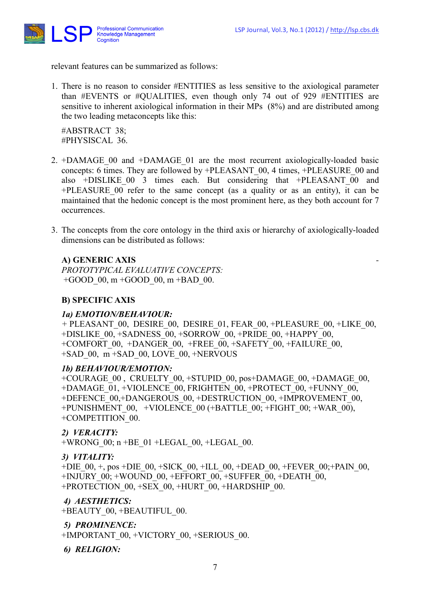

relevant features can be summarized as follows:

1. There is no reason to consider #ENTITIES as less sensitive to the axiological parameter than #EVENTS or #QUALITIES, even though only 74 out of 929 #ENTITIES are sensitive to inherent axiological information in their MPs (8%) and are distributed among the two leading metaconcepts like this:

 #ABSTRACT 38; #PHYSISCAL 36.

- 2. +DAMAGE\_00 and +DAMAGE\_01 are the most recurrent axiologically-loaded basic concepts: 6 times. They are followed by +PLEASANT\_00, 4 times, +PLEASURE\_00 and also +DISLIKE\_00 3 times each. But considering that +PLEASANT\_00 and +PLEASURE\_00 refer to the same concept (as a quality or as an entity), it can be maintained that the hedonic concept is the most prominent here, as they both account for 7 occurrences.
- 3. The concepts from the core ontology in the third axis or hierarchy of axiologically-loaded dimensions can be distributed as follows:

# A) GENERIC AXIS

PROTOTYPICAL EVALUATIVE CONCEPTS: +GOOD  $00, m +$ GOOD  $00, m +$ BAD  $00$ .

## B) SPECIFIC AXIS

#### 1a) EMOTION/BEHAVIOUR:

+ PLEASANT\_00, DESIRE\_00, DESIRE\_01, FEAR\_00, +PLEASURE\_00, +LIKE\_00, +DISLIKE\_00, +SADNESS\_00, +SORROW\_00, +PRIDE\_00, +HAPPY\_00, +COMFORT\_00, +DANGER\_00, +FREE\_00, +SAFETY\_00, +FAILURE\_00, +SAD\_00, m +SAD\_00, LOVE\_00, +NERVOUS

#### 1b) BEHAVIOUR/EMOTION:

+COURAGE\_00 , CRUELTY\_00, +STUPID\_00, pos+DAMAGE\_00, +DAMAGE\_00, +DAMAGE\_01, +VIOLENCE\_00, FRIGHTEN\_00, +PROTECT\_00, +FUNNY\_00, +DEFENCE\_00,+DANGEROUS\_00, +DESTRUCTION\_00, +IMPROVEMENT\_00, +PUNISHMENT\_00, +VIOLENCE\_00 (+BATTLE\_00; +FIGHT\_00; +WAR\_00), +COMPETITION\_00.

### 2) VERACITY:

+WRONG\_00; n +BE\_01 +LEGAL\_00, +LEGAL\_00.

#### 3) VITALITY:

+DIE\_00, +, pos +DIE\_00, +SICK\_00, +ILL\_00, +DEAD\_00, +FEVER\_00; +PAIN\_00, +INJURY\_00; +WOUND\_00, +EFFORT\_00, +SUFFER\_00, +DEATH\_00, +PROTECTION\_00, +SEX\_00, +HURT\_00, +HARDSHIP\_00.

### 4) AESTHETICS:

+BEAUTY\_00, +BEAUTIFUL\_00.

# 5) PROMINENCE:

+IMPORTANT\_00, +VICTORY\_00, +SERIOUS\_00.

6) RELIGION: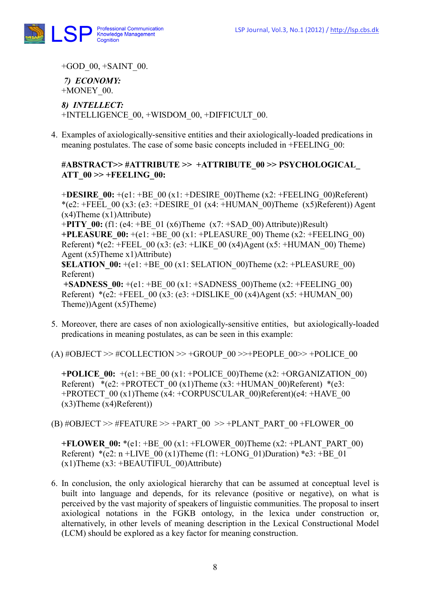

+GOD  $00, +SAINT$  00.

7) ECONOMY: +MONEY\_00.

8) INTELLECT: +INTELLIGENCE\_00, +WISDOM\_00, +DIFFICULT\_00.

4. Examples of axiologically-sensitive entities and their axiologically-loaded predications in meaning postulates. The case of some basic concepts included in +FEELING\_00:

## #ABSTRACT>> #ATTRIBUTE >> +ATTRIBUTE\_00 >> PSYCHOLOGICAL\_ ATT  $00 \gg + \text{FEELING}$  00:

+DESIRE  $00: +(e1: +BE_00(x1: +DESIRE_00)$ Theme (x2: +FEELING 00)Referent) \*(e2: +FEEL\_00 (x3: (e3: +DESIRE\_01 (x4: +HUMAN\_00)Theme (x5)Referent)) Agent (x4)Theme (x1)Attribute) +PITY\_00: (f1: (e4: +BE\_01 (x6)Theme (x7: +SAD\_00) Attribute))Result) +PLEASURE  $00: + (e1: +BE_00(x1: +PLEASURE_00)$  Theme  $(x2: +FEELING_00)$ Referent) \*(e2: +FEEL 00 (x3: (e3: +LIKE 00 (x4)Agent (x5: +HUMAN 00) Theme) Agent (x5)Theme x1)Attribute) **SELATION**  $00: + (e1: +BE_00)$  (x1: SELATION 00)Theme (x2: +PLEASURE 00) Referent)  $+SADNESS$  00:  $+(e1: +BE)$  00 (x1:  $+SADNESS$  00)Theme (x2:  $+FEELING$  00) Referent) \*(e2: +FEEL 00 (x3: (e3: +DISLIKE 00 (x4)Agent (x5: +HUMAN 00) Theme))Agent (x5)Theme)

5. Moreover, there are cases of non axiologically-sensitive entities, but axiologically-loaded predications in meaning postulates, as can be seen in this example:

 $(A)$  #OBJECT >> #COLLECTION >> +GROUP\_00 >>+PEOPLE\_00>> +POLICE\_00

+POLICE  $00: + (e1: +BE_00(x1: +POLICE_00)$ Theme (x2: +ORGANIZATION 00) Referent) \*(e2: +PROTECT\_00 (x1)Theme (x3: +HUMAN\_00)Referent) \*(e3: +PROTECT\_00 (x1)Theme (x4: +CORPUSCULAR\_00)Referent)(e4: +HAVE\_00 (x3)Theme (x4)Referent))

(B)  $\# \text{OBJECT} \gg \# \text{FEATURE} \gg + \text{PART}$  00  $\gg + \text{PLANT}$  PART 00 +FLOWER 00

+FLOWER  $00: * (e1: +BE_00 (x1: +FLOWER_00)$ Theme  $(x2: +PLANT_1)$ PART $(00)$ Referent) \*(e2: n +LIVE  $00 (x1)$ Theme (f1: +LONG 01)Duration) \*e3: +BE 01  $(x1)$ Theme  $(x3: +BEAUTIFUL_00)$ Attribute)

6. In conclusion, the only axiological hierarchy that can be assumed at conceptual level is built into language and depends, for its relevance (positive or negative), on what is perceived by the vast majority of speakers of linguistic communities. The proposal to insert axiological notations in the FGKB ontology, in the lexica under construction or, alternatively, in other levels of meaning description in the Lexical Constructional Model (LCM) should be explored as a key factor for meaning construction.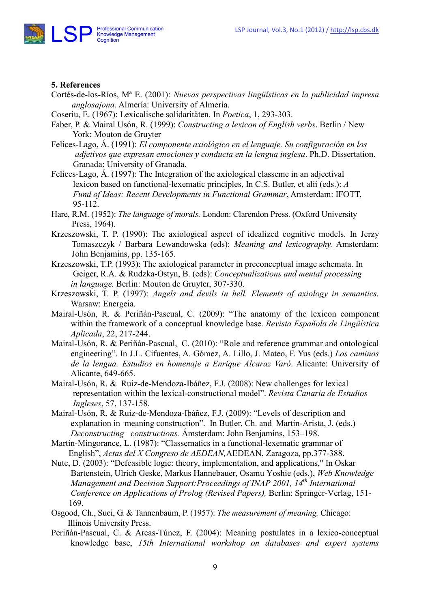

#### 5. References

- Cortés-de-los-Ríos, Mª E. (2001): Nuevas perspectivas lingüísticas en la publicidad impresa anglosajona. Almería: University of Almería.
- Coseriu, E. (1967): Lexicalische solidaritäten. In Poetica, 1, 293-303.
- Faber, P. & Mairal Usón, R. (1999): Constructing a lexicon of English verbs. Berlin / New York: Mouton de Gruyter
- Felices-Lago, Á. (1991): El componente axiológico en el lenguaje. Su configuración en los adjetivos que expresan emociones y conducta en la lengua inglesa. Ph.D. Dissertation. Granada: University of Granada.
- Felices-Lago, Á. (1997): The Integration of the axiological classeme in an adjectival lexicon based on functional-lexematic principles, In C.S. Butler, et alii (eds.): A Fund of Ideas: Recent Developments in Functional Grammar, Amsterdam: IFOTT, 95-112.
- Hare, R.M. (1952): The language of morals. London: Clarendon Press. (Oxford University Press, 1964).
- Krzeszowski, T. P. (1990): The axiological aspect of idealized cognitive models. In Jerzy Tomaszczyk / Barbara Lewandowska (eds): Meaning and lexicography. Amsterdam: John Benjamins, pp. 135-165.
- Krzeszowski, T.P. (1993): The axiological parameter in preconceptual image schemata. In Geiger, R.A. & Rudzka-Ostyn, B. (eds): Conceptualizations and mental processing in language. Berlin: Mouton de Gruyter, 307-330.
- Krzeszowski, T. P. (1997): Angels and devils in hell. Elements of axiology in semantics. Warsaw: Energeia.
- Mairal-Usón, R. & Periñán-Pascual, C. (2009): "The anatomy of the lexicon component within the framework of a conceptual knowledge base. Revista Española de Lingüística Aplicada, 22, 217-244.
- Mairal-Usón, R. & Periñán-Pascual, C. (2010): "Role and reference grammar and ontological engineering". In J.L. Cifuentes, A. Gómez, A. Lillo, J. Mateo, F. Yus (eds.) Los caminos de la lengua. Estudios en homenaje a Enrique Alcaraz Varó. Alicante: University of Alicante, 649-665.
- Mairal-Usón, R. & Ruiz-de-Mendoza-Ibáñez, F.J. (2008): New challenges for lexical representation within the lexical-constructional model". Revista Canaria de Estudios Ingleses, 57, 137-158.
- Mairal-Usón, R. & Ruiz-de-Mendoza-Ibáñez, F.J. (2009): "Levels of description and explanation in meaning construction". In Butler, Ch. and Martín-Arista, J. (eds.) Deconstructing constructions. Ámsterdam: John Benjamins, 153–198.
- Martín-Mingorance, L. (1987): "Classematics in a functional-lexematic grammar of English", Actas del X Congreso de AEDEAN, AEDEAN, Zaragoza, pp.377-388.
- Nute, D. (2003): "Defeasible logic: theory, implementation, and applications," In Oskar Bartenstein, Ulrich Geske, Markus Hannebauer, Osamu Yoshie (eds.), Web Knowledge Management and Decision Support: Proceedings of INAP 2001,  $14<sup>th</sup>$  International Conference on Applications of Prolog (Revised Papers), Berlin: Springer-Verlag, 151- 169.
- Osgood, Ch., Suci, G. & Tannenbaum, P. (1957): The measurement of meaning. Chicago: Illinois University Press.
- Periñán-Pascual, C. & Arcas-Túnez, F. (2004): Meaning postulates in a lexico-conceptual knowledge base, 15th International workshop on databases and expert systems